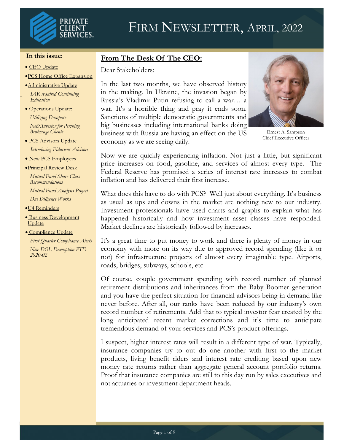

#### **In this issue:**

- CEO Update
- •PCS Home Office Expansion
- •Administrative Update
- *IAR required Continuing Education*
- Operations Update:

*Utilizing Docupace NetXInvestor for Pershing Brokerage Clients*

- PCS Advisors Update *Introducing Fiducient Advisors*
- New PCS Employees
- •Principal Review Desk

*Mutual Fund Share Class Recommendations Mutual Fund Analysis Project Due Diligence Works*

- •U4 Reminders
- Business Development Update
- Compliance Update

*First Quarter Compliance Alerts New DOL Exemption PTE 2020-02*

### **From The Desk Of The CEO:**

Dear Stakeholders:

In the last two months, we have observed history in the making. In Ukraine, the invasion began by Russia's Vladimir Putin refusing to call a war… a war. It's a horrible thing and pray it ends soon. Sanctions of multiple democratic governments and big businesses including international banks doing business with Russia are having an effect on the US economy as we are seeing daily.



Ernest A. Sampson Chief Executive Officer

Now we are quickly experiencing inflation. Not just a little, but significant price increases on food, gasoline, and services of almost every type. The Federal Reserve has promised a series of interest rate increases to combat inflation and has delivered their first increase.

What does this have to do with PCS? Well just about everything. It's business as usual as ups and downs in the market are nothing new to our industry. Investment professionals have used charts and graphs to explain what has happened historically and how investment asset classes have responded. Market declines are historically followed by increases.

It's a great time to put money to work and there is plenty of money in our economy with more on its way due to approved record spending (like it or not) for infrastructure projects of almost every imaginable type. Airports, roads, bridges, subways, schools, etc.

Of course, couple government spending with record number of planned retirement distributions and inheritances from the Baby Boomer generation and you have the perfect situation for financial advisors being in demand like never before. After all, our ranks have been reduced by our industry's own record number of retirements. Add that to typical investor fear created by the long anticipated recent market corrections and it's time to anticipate tremendous demand of your services and PCS's product offerings.

I suspect, higher interest rates will result in a different type of war. Typically, insurance companies try to out do one another with first to the market products, living benefit riders and interest rate crediting based upon new money rate returns rather than aggregate general account portfolio returns. Proof that insurance companies are still to this day run by sales executives and not actuaries or investment department heads.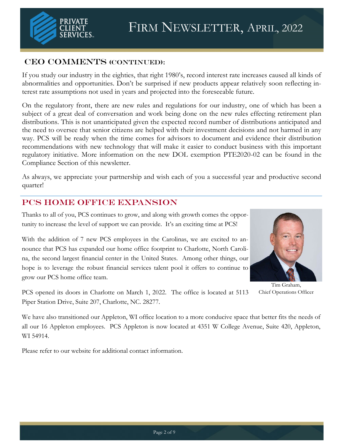

### CEO COMMENTS (CONTINUED):

If you study our industry in the eighties, that right 1980's, record interest rate increases caused all kinds of abnormalities and opportunities. Don't be surprised if new products appear relatively soon reflecting interest rate assumptions not used in years and projected into the foreseeable future.

On the regulatory front, there are new rules and regulations for our industry, one of which has been a subject of a great deal of conversation and work being done on the new rules effecting retirement plan distributions. This is not unanticipated given the expected record number of distributions anticipated and the need to oversee that senior citizens are helped with their investment decisions and not harmed in any way. PCS will be ready when the time comes for advisors to document and evidence their distribution recommendations with new technology that will make it easier to conduct business with this important regulatory initiative. More information on the new DOL exemption PTE2020-02 can be found in the Compliance Section of this newsletter.

As always, we appreciate your partnership and wish each of you a successful year and productive second quarter!

### PCS Home Office Expansion

Thanks to all of you, PCS continues to grow, and along with growth comes the opportunity to increase the level of support we can provide. It's an exciting time at PCS!

With the addition of 7 new PCS employees in the Carolinas, we are excited to announce that PCS has expanded our home office footprint to Charlotte, North Carolina, the second largest financial center in the United States. Among other things, our hope is to leverage the robust financial services talent pool it offers to continue to grow our PCS home office team.



Tim Graham, Chief Operations Officer

PCS opened its doors in Charlotte on March 1, 2022. The office is located at 5113 Piper Station Drive, Suite 207, Charlotte, NC. 28277.

We have also transitioned our Appleton, WI office location to a more conducive space that better fits the needs of all our 16 Appleton employees. PCS Appleton is now located at 4351 W College Avenue, Suite 420, Appleton, WI 54914.

Please refer to our website for additional contact information.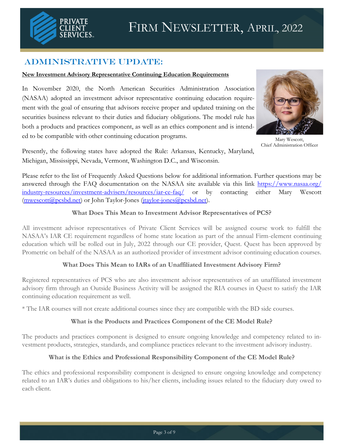

### Administrative Update:

#### **New Investment Advisory Representative Continuing Education Requirements**

In November 2020, the North American Securities Administration Association (NASAA) adopted an investment advisor representative continuing education requirement with the goal of ensuring that advisors receive proper and updated training on the securities business relevant to their duties and fiduciary obligations. The model rule has both a products and practices component, as well as an ethics component and is intended to be compatible with other continuing education programs.



Mary Wescott, Chief Administration Officer

Presently, the following states have adopted the Rule: Arkansas, Kentucky, Maryland, Michigan, Mississippi, Nevada, Vermont, Washington D.C., and Wisconsin.

Please refer to the list of Frequently Asked Questions below for additional information. Further questions may be answered through the FAQ documentation on the NASAA site available via this link [https://www.nasaa.org/](https://www.nasaa.org/industry-resources/investment-advisers/resources/iar-ce-faq/) [industry-resources/investment-advisers/resources/iar-ce-faq/](https://www.nasaa.org/industry-resources/investment-advisers/resources/iar-ce-faq/) or by contacting either Mary Wescott ([mwescott@pcsbd.net\)](mailto:mwescott@pcsbd.net) or John Taylor-Jones [\(jtaylor-jones@pcsbd.net\).](mailto:jtaylor-jones@pcsbd.net)

#### **What Does This Mean to Investment Advisor Representatives of PCS?**

All investment advisor representatives of Private Client Services will be assigned course work to fulfill the NASAA's IAR CE requirement regardless of home state location as part of the annual Firm-element continuing education which will be rolled out in July, 2022 through our CE provider, Quest. Quest has been approved by Prometric on behalf of the NASAA as an authorized provider of investment advisor continuing education courses.

#### **What Does This Mean to IARs of an Unaffiliated Investment Advisory Firm?**

Registered representatives of PCS who are also investment advisor representatives of an unaffiliated investment advisory firm through an Outside Business Activity will be assigned the RIA courses in Quest to satisfy the IAR continuing education requirement as well.

\* The IAR courses will not create additional courses since they are compatible with the BD side courses.

#### **What is the Products and Practices Component of the CE Model Rule?**

The products and practices component is designed to ensure ongoing knowledge and competency related to investment products, strategies, standards, and compliance practices relevant to the investment advisory industry.

#### **What is the Ethics and Professional Responsibility Component of the CE Model Rule?**

The ethics and professional responsibility component is designed to ensure ongoing knowledge and competency related to an IAR's duties and obligations to his/her clients, including issues related to the fiduciary duty owed to each client.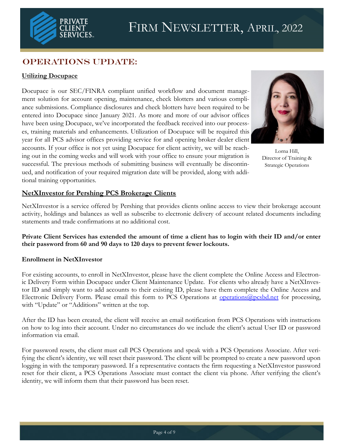

# OPERATIONS UPDATE:

### **Utilizing Docupace**

Docupace is our SEC/FINRA compliant unified workflow and document management solution for account opening, maintenance, check blotters and various compliance submissions. Compliance disclosures and check blotters have been required to be entered into Docupace since January 2021. As more and more of our advisor offices have been using Docupace, we've incorporated the feedback received into our processes, training materials and enhancements. Utilization of Docupace will be required this year for all PCS advisor offices providing service for and opening broker dealer client accounts. If your office is not yet using Docupace for client activity, we will be reaching out in the coming weeks and will work with your office to ensure your migration is successful. The previous methods of submitting business will eventually be discontinued, and notification of your required migration date will be provided, along with additional training opportunities.



Lorna Hill, Director of Training & Strategic Operations

#### **NetXInvestor for Pershing PCS Brokerage Clients**

NetXInvestor is a service offered by Pershing that provides clients online access to view their brokerage account activity, holdings and balances as well as subscribe to electronic delivery of account related documents including statements and trade confirmations at no additional cost.

**Private Client Services has extended the amount of time a client has to login with their ID and/or enter their password from 60 and 90 days to 120 days to prevent fewer lockouts.** 

#### **Enrollment in NetXInvestor**

For existing accounts, to enroll in NetXInvestor, please have the client complete the Online Access and Electronic Delivery Form within Docupace under Client Maintenance Update. For clients who already have a NetXInvestor ID and simply want to add accounts to their existing ID, please have them complete the Online Access and Electronic Delivery Form. Please email this form to PCS Operations at [operations@pcsbd.net](mailto:operations@pcsbd.net) for processing, with "Update" or "Additions" written at the top.

After the ID has been created, the client will receive an email notification from PCS Operations with instructions on how to log into their account. Under no circumstances do we include the client's actual User ID or password information via email.

For password resets, the client must call PCS Operations and speak with a PCS Operations Associate. After verifying the client's identity, we will reset their password. The client will be prompted to create a new password upon logging in with the temporary password. If a representative contacts the firm requesting a NetXInvestor password reset for their client, a PCS Operations Associate must contact the client via phone. After verifying the client's identity, we will inform them that their password has been reset.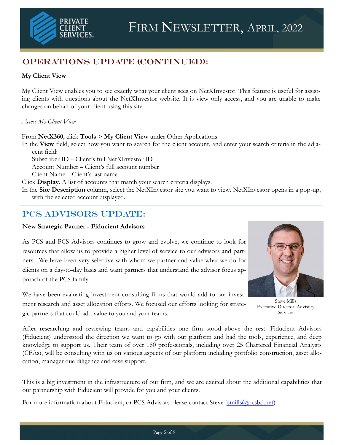# OPERATIONS UPDATE (Continued):

### **My Client View**

My Client View enables you to see exactly what your client sees on NetXInvestor. This feature is useful for assisting clients with questions about the NetXInvestor website. It is view only access, and you are unable to make changes on behalf of your client using this site.

#### *Access My Client View*

From **NetX360**, click **Tools** > **My Client View** under Other Applications

In the **View** field, select how you want to search for the client account, and enter your search criteria in the adjacent field:

Subscriber ID – Client's full NetXInvestor ID

Account Number – Client's full account number

Client Name – Client's last name

Click **Display**. A list of accounts that match your search criteria displays.

In the **Site Description** column, select the NetXInvestor site you want to view. NetXInvestor opens in a pop-up, with the selected account displayed.

# PCS ADVISORS UPDATE:

#### **New Strategic Partner - Fiducient Advisors**

As PCS and PCS Advisors continues to grow and evolve, we continue to look for resources that allow us to provide a higher level of service to our advisors and partners. We have been very selective with whom we partner and value what we do for clients on a day-to-day basis and want partners that understand the advisor focus approach of the PCS family.

We have been evaluating investment consulting firms that would add to our investment research and asset allocation efforts. We focused our efforts looking for strategic partners that could add value to you and your teams.



Steve Mills Executive Director, Advisory Services

After researching and reviewing teams and capabilities one firm stood above the rest. Fiducient Advisors (Fiducient) understood the direction we want to go with our platform and had the tools, experience, and deep knowledge to support us. Their team of over 180 professionals, including over 25 Chartered Financial Analysts (CFAs), will be consulting with us on various aspects of our platform including portfolio construction, asset allocation, manager due diligence and case support.

This is a big investment in the infrastructure of our firm, and we are excited about the additional capabilities that our partnership with Fiducient will provide for you and your clients.

For more information about Fiducient, or PCS Advisors please contact Steve (smills@pcsbd.net).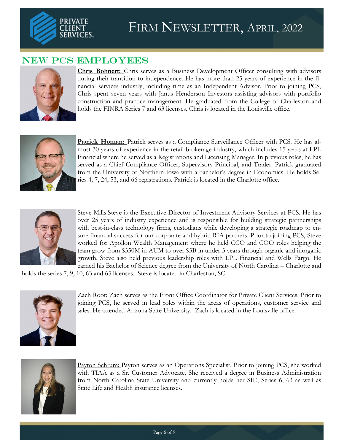

# NEW PCS EMPLOYEES



**Chris Bohnert:** Chris serves as a Business Development Officer consulting with advisors during their transition to independence. He has more than 25 years of experience in the financial services industry, including time as an Independent Advisor. Prior to joining PCS, Chris spent seven years with Janus Henderson Investors assisting advisors with portfolio construction and practice management. He graduated from the College of Charleston and holds the FINRA Series 7 and 63 licenses. Chris is located in the Louisville office.



**Patrick Homan:** Patrick serves as a Compliance Surveillance Officer with PCS. He has almost 30 years of experience in the retail brokerage industry, which includes 15 years at LPL Financial where he served as a Registrations and Licensing Manager. In previous roles, he has served as a Chief Compliance Officer, Supervisory Principal, and Trader. Patrick graduated from the University of Northern Iowa with a bachelor's degree in Economics. He holds Series 4, 7, 24, 53, and 66 registrations. Patrick is located in the Charlotte office.



Steve Mills:Steve is the Executive Director of Investment Advisory Services at PCS. He has over 25 years of industry experience and is responsible for building strategic partnerships with best-in-class technology firms, custodians while developing a strategic roadmap to ensure financial success for our corporate and hybrid RIA partners. Prior to joining PCS, Steve worked for Apollon Wealth Management where he held CCO and COO roles helping the team grow from \$350M in AUM to over \$3B in under 3 years through organic and inorganic growth. Steve also held previous leadership roles with LPL Financial and Wells Fargo. He earned his Bachelor of Science degree from the University of North Carolina – Charlotte and

holds the series 7, 9, 10, 63 and 65 licenses. Steve is located in Charleston, SC.



Zach Root: Zach serves as the Front Office Coordinator for Private Client Services. Prior to joining PCS, he served in lead roles within the areas of operations, customer service and sales. He attended Arizona State University. Zach is located in the Louisville office.



Payton Schrum: Payton serves as an Operations Specialist. Prior to joining PCS, she worked with TIAA as a Sr. Customer Advocate. She received a degree in Business Administration from North Carolina State University and currently holds her SIE, Series 6, 63 as well as State Life and Health insurance licenses.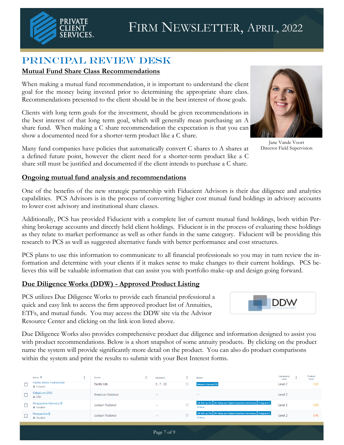

# Principal review Desk

### **Mutual Fund Share Class Recommendations**

When making a mutual fund recommendation, it is important to understand the client goal for the money being invested prior to determining the appropriate share class. Recommendations presented to the client should be in the best interest of those goals.

Clients with long term goals for the investment, should be given recommendations in the best interest of that long term goal, which will generally mean purchasing an A share fund. When making a C share recommendation the expectation is that you can show a documented need for a shorter-term product like a C share.

Many fund companies have policies that automatically convert C shares to A shares at a defined future point, however the client need for a shorter-term product like a C share still must be justified and documented if the client intends to purchase a C share.

### **Ongoing mutual fund analysis and recommendations**

One of the benefits of the new strategic partnership with Fiducient Advisors is their due diligence and analytics capabilities. PCS Advisors is in the process of converting higher cost mutual fund holdings in advisory accounts to lower cost advisory and institutional share classes.

Additionally, PCS has provided Fiducient with a complete list of current mutual fund holdings, both within Pershing brokerage accounts and directly held client holdings. Fiducient is in the process of evaluating these holdings as they relate to market performance as well as other funds in the same category. Fiducient will be providing this research to PCS as well as suggested alternative funds with better performance and cost structures.

PCS plans to use this information to communicate to all financial professionals so you may in turn review the information and determine with your clients if it makes sense to make changes to their current holdings. PCS believes this will be valuable information that can assist you with portfolio make-up and design going forward.

### **Due Diligence Works (DDW) - Approved Product Listing**

PCS utilizes Due Diligence Works to provide each financial professional a quick and easy link to access the firm approved product list of Annuities, ETFs, and mutual funds. You may access the DDW site via the Advisor Resource Center and clicking on the link icon listed above.

Due Diligence Works also provides comprehensive product due diligence and information designed to assist you with product recommendations. Below is a short snapshot of some annuity products. By clicking on the product name the system will provide significantly more detail on the product. You can also do product comparisons within the system and print the results to submit with your Best Interest forms.

|   | Name 个                                          | Carrier                  | <b>Durations</b>         |                | <b>Riders</b>                                                                    | Complexity<br>Level | Product<br>Score |
|---|-------------------------------------------------|--------------------------|--------------------------|----------------|----------------------------------------------------------------------------------|---------------------|------------------|
| ᄂ | PACIFIC INDEX FOUNDATION<br>$\triangle$ Indexed | Pacific Life             | 5, 7, 10                 | (2)            | <b>Interest Enhanced DB</b>                                                      | Level <sub>2</sub>  | 2.00             |
|   | Palladium SPIA<br>$\triangle$ SPIA              | <b>American National</b> | $\overline{\phantom{a}}$ |                | $\sim$                                                                           | Level 2             |                  |
|   | Perspective Advisory II<br>A Variable           | Jackson National         |                          | ⊚              | 5% Roll-up DBs 5% Rollup and Highest Quarterly Anniversary Autoguard 5<br>9 More | Level <sub>2</sub>  | 2.60             |
|   | Perspective II<br>A Variable                    | Jackson National         | $\overline{\phantom{a}}$ | $\circledcirc$ | 5% Roll-up DBs 5% Rollup and Highest Quarterly Anniversary Autoguard 5<br>9 More | Level <sub>2</sub>  | 3.40             |



Jane Vande Voort Director Field Supervision

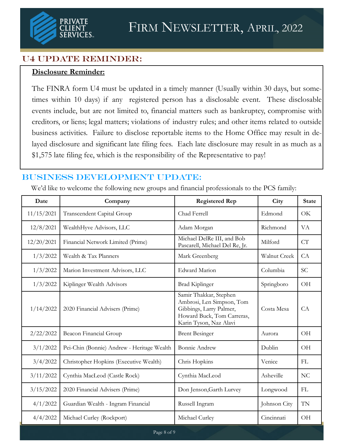

## U4 UPDATE REMINDER:

### **Disclosure Reminder:**

The FINRA form U4 must be updated in a timely manner (Usually within 30 days, but sometimes within 10 days) if any registered person has a disclosable event. These disclosable events include, but are not limited to, financial matters such as bankruptcy, compromise with creditors, or liens; legal matters; violations of industry rules; and other items related to outside business activities. Failure to disclose reportable items to the Home Office may result in delayed disclosure and significant late filing fees. Each late disclosure may result in as much as a \$1,575 late filing fee, which is the responsibility of the Representative to pay!

# Business Development UPDATE:

We'd like to welcome the following new groups and financial professionals to the PCS family:

| Date       | Company                                    | <b>Registered Rep</b>                                                                                                                  | City         | <b>State</b> |
|------------|--------------------------------------------|----------------------------------------------------------------------------------------------------------------------------------------|--------------|--------------|
| 11/15/2021 | Transcendent Capital Group                 | Chad Ferrell                                                                                                                           | Edmond       | <b>OK</b>    |
| 12/8/2021  | WealthHyve Advisors, LLC                   | Adam Morgan                                                                                                                            | Richmond     | <b>VA</b>    |
| 12/20/2021 | Financial Network Limited (Prime)          | Michael DelRe III, and Bob<br>Pascarell, Michael Del Re, Jr.                                                                           | Milford      | CT           |
| 1/3/2022   | Wealth & Tax Planners                      | Mark Greenberg                                                                                                                         | Walnut Creek | CA           |
| 1/3/2022   | Marion Investment Advisors, LLC            | <b>Edward Marion</b>                                                                                                                   | Columbia     | <b>SC</b>    |
| 1/3/2022   | Kiplinger Wealth Advisors                  | <b>Brad Kiplinger</b>                                                                                                                  | Springboro   | OH           |
| 1/14/2022  | 2020 Financial Advisers (Prime)            | Samir Thakkar, Stephen<br>Ambrosi, Len Simpson, Tom<br>Gibbings, Larry Palmer,<br>Howard Buck, Tom Carreras,<br>Karin Tyson, Naz Alavi | Costa Mesa   | CA           |
| 2/22/2022  | Beacon Financial Group                     | <b>Brent Besinger</b>                                                                                                                  | Aurora       | <b>OH</b>    |
| 3/1/2022   | Pei-Chin (Bonnie) Andrew - Heritage Wealth | <b>Bonnie Andrew</b>                                                                                                                   | Dublin       | <b>OH</b>    |
| 3/4/2022   | Christopher Hopkins (Executive Wealth)     | Chris Hopkins                                                                                                                          | Venice       | FL           |
| 3/11/2022  | Cynthia MacLeod (Castle Rock)              | Cynthia MacLeod                                                                                                                        | Asheville    | NC           |
| 3/15/2022  | 2020 Financial Advisers (Prime)            | Don Jenson, Garth Lurvey                                                                                                               | Longwood     | FL           |
| 4/1/2022   | Guardian Wealth - Ingram Financial         | Russell Ingram                                                                                                                         | Johnson City | TN           |
| 4/4/2022   | Michael Curley (Rockport)                  | Michael Curley                                                                                                                         | Cincinnati   | <b>OH</b>    |